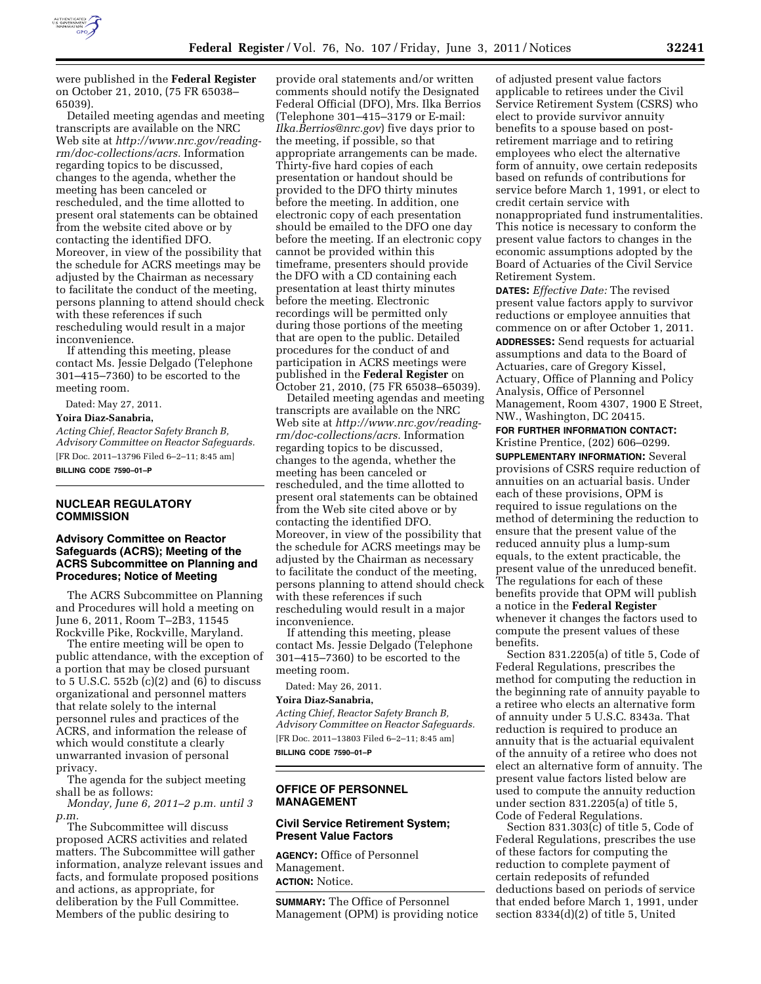

were published in the **Federal Register**  on October 21, 2010, (75 FR 65038– 65039).

Detailed meeting agendas and meeting transcripts are available on the NRC Web site at *[http://www.nrc.gov/reading](http://www.nrc.gov/reading-rm/doc-collections/acrs)[rm/doc-collections/acrs.](http://www.nrc.gov/reading-rm/doc-collections/acrs)* Information regarding topics to be discussed, changes to the agenda, whether the meeting has been canceled or rescheduled, and the time allotted to present oral statements can be obtained from the website cited above or by contacting the identified DFO. Moreover, in view of the possibility that the schedule for ACRS meetings may be adjusted by the Chairman as necessary to facilitate the conduct of the meeting, persons planning to attend should check with these references if such rescheduling would result in a major inconvenience.

If attending this meeting, please contact Ms. Jessie Delgado (Telephone 301–415–7360) to be escorted to the meeting room.

Dated: May 27, 2011.

### **Yoira Diaz-Sanabria,**

*Acting Chief, Reactor Safety Branch B, Advisory Committee on Reactor Safeguards.*  [FR Doc. 2011–13796 Filed 6–2–11; 8:45 am] **BILLING CODE 7590–01–P** 

# **NUCLEAR REGULATORY COMMISSION**

## **Advisory Committee on Reactor Safeguards (ACRS); Meeting of the ACRS Subcommittee on Planning and Procedures; Notice of Meeting**

The ACRS Subcommittee on Planning and Procedures will hold a meeting on June 6, 2011, Room T–2B3, 11545 Rockville Pike, Rockville, Maryland.

The entire meeting will be open to public attendance, with the exception of a portion that may be closed pursuant to 5 U.S.C. 552b (c)(2) and (6) to discuss organizational and personnel matters that relate solely to the internal personnel rules and practices of the ACRS, and information the release of which would constitute a clearly unwarranted invasion of personal privacy.

The agenda for the subject meeting shall be as follows:

*Monday, June 6, 2011–2 p.m. until 3 p.m.* 

The Subcommittee will discuss proposed ACRS activities and related matters. The Subcommittee will gather information, analyze relevant issues and facts, and formulate proposed positions and actions, as appropriate, for deliberation by the Full Committee. Members of the public desiring to

provide oral statements and/or written comments should notify the Designated Federal Official (DFO), Mrs. Ilka Berrios (Telephone 301–415–3179 or E-mail: *[Ilka.Berrios@nrc.gov](mailto:Ilka.Berrios@nrc.gov)*) five days prior to the meeting, if possible, so that appropriate arrangements can be made. Thirty-five hard copies of each presentation or handout should be provided to the DFO thirty minutes before the meeting. In addition, one electronic copy of each presentation should be emailed to the DFO one day before the meeting. If an electronic copy cannot be provided within this timeframe, presenters should provide the DFO with a CD containing each presentation at least thirty minutes before the meeting. Electronic recordings will be permitted only during those portions of the meeting that are open to the public. Detailed procedures for the conduct of and participation in ACRS meetings were published in the **Federal Register** on October 21, 2010, (75 FR 65038–65039).

Detailed meeting agendas and meeting transcripts are available on the NRC Web site at *[http://www.nrc.gov/reading](http://www.nrc.gov/reading-rm/doc-collections/acrs)[rm/doc-collections/acrs.](http://www.nrc.gov/reading-rm/doc-collections/acrs)* Information regarding topics to be discussed, changes to the agenda, whether the meeting has been canceled or rescheduled, and the time allotted to present oral statements can be obtained from the Web site cited above or by contacting the identified DFO. Moreover, in view of the possibility that the schedule for ACRS meetings may be adjusted by the Chairman as necessary to facilitate the conduct of the meeting, persons planning to attend should check with these references if such rescheduling would result in a major inconvenience.

If attending this meeting, please contact Ms. Jessie Delgado (Telephone 301–415–7360) to be escorted to the meeting room.

Dated: May 26, 2011.

#### **Yoira Diaz-Sanabria,**

*Acting Chief, Reactor Safety Branch B, Advisory Committee on Reactor Safeguards.*  [FR Doc. 2011–13803 Filed 6–2–11; 8:45 am] **BILLING CODE 7590–01–P** 

## **OFFICE OF PERSONNEL MANAGEMENT**

## **Civil Service Retirement System; Present Value Factors**

**AGENCY:** Office of Personnel Management. **ACTION:** Notice.

**SUMMARY:** The Office of Personnel Management (OPM) is providing notice

of adjusted present value factors applicable to retirees under the Civil Service Retirement System (CSRS) who elect to provide survivor annuity benefits to a spouse based on postretirement marriage and to retiring employees who elect the alternative form of annuity, owe certain redeposits based on refunds of contributions for service before March 1, 1991, or elect to credit certain service with nonappropriated fund instrumentalities. This notice is necessary to conform the present value factors to changes in the economic assumptions adopted by the Board of Actuaries of the Civil Service Retirement System.

**DATES:** *Effective Date:* The revised present value factors apply to survivor reductions or employee annuities that commence on or after October 1, 2011. **ADDRESSES:** Send requests for actuarial assumptions and data to the Board of Actuaries, care of Gregory Kissel, Actuary, Office of Planning and Policy Analysis, Office of Personnel Management, Room 4307, 1900 E Street, NW., Washington, DC 20415.

**FOR FURTHER INFORMATION CONTACT:**  Kristine Prentice, (202) 606–0299.

**SUPPLEMENTARY INFORMATION:** Several provisions of CSRS require reduction of annuities on an actuarial basis. Under each of these provisions, OPM is required to issue regulations on the method of determining the reduction to ensure that the present value of the reduced annuity plus a lump-sum equals, to the extent practicable, the present value of the unreduced benefit. The regulations for each of these benefits provide that OPM will publish a notice in the **Federal Register**  whenever it changes the factors used to compute the present values of these benefits.

Section 831.2205(a) of title 5, Code of Federal Regulations, prescribes the method for computing the reduction in the beginning rate of annuity payable to a retiree who elects an alternative form of annuity under 5 U.S.C. 8343a. That reduction is required to produce an annuity that is the actuarial equivalent of the annuity of a retiree who does not elect an alternative form of annuity. The present value factors listed below are used to compute the annuity reduction under section 831.2205(a) of title 5, Code of Federal Regulations.

Section 831.303(c) of title 5, Code of Federal Regulations, prescribes the use of these factors for computing the reduction to complete payment of certain redeposits of refunded deductions based on periods of service that ended before March 1, 1991, under section 8334(d)(2) of title 5, United